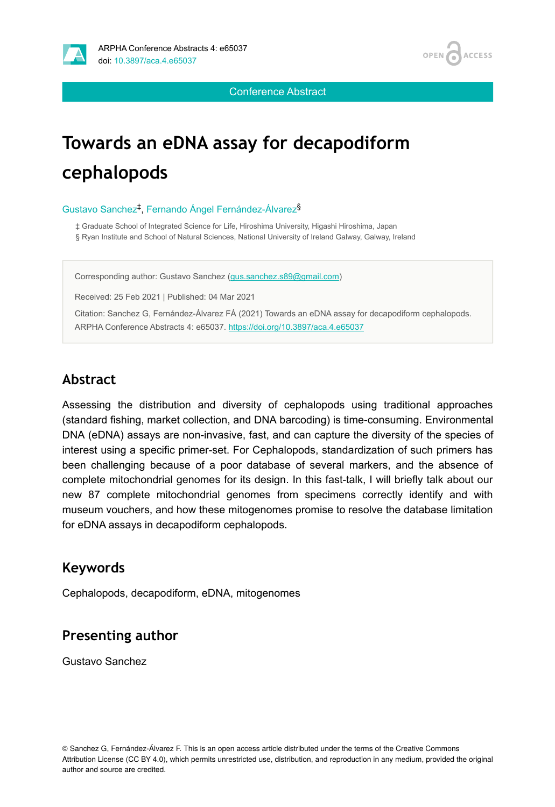

Conference Abstract

# **Towards an eDNA assay for decapodiform cephalopods**

#### Gustavo Sanchez<sup>‡</sup>, Fernando Ángel Fernández-Álvarez<sup>§</sup>

‡ Graduate School of Integrated Science for Life, Hiroshima University, Higashi Hiroshima, Japan

§ Ryan Institute and School of Natural Sciences, National University of Ireland Galway, Galway, Ireland

Corresponding author: Gustavo Sanchez ([gus.sanchez.s89@gmail.com\)](mailto:gus.sanchez.s89@gmail.com)

Received: 25 Feb 2021 | Published: 04 Mar 2021

Citation: Sanchez G, Fernández-Álvarez FÁ (2021) Towards an eDNA assay for decapodiform cephalopods. ARPHA Conference Abstracts 4: e65037. <https://doi.org/10.3897/aca.4.e65037>

### **Abstract**

Assessing the distribution and diversity of cephalopods using traditional approaches (standard fishing, market collection, and DNA barcoding) is time-consuming. Environmental DNA (eDNA) assays are non-invasive, fast, and can capture the diversity of the species of interest using a specific primer-set. For Cephalopods, standardization of such primers has been challenging because of a poor database of several markers, and the absence of complete mitochondrial genomes for its design. In this fast-talk, I will briefly talk about our new 87 complete mitochondrial genomes from specimens correctly identify and with museum vouchers, and how these mitogenomes promise to resolve the database limitation for eDNA assays in decapodiform cephalopods.

### **Keywords**

Cephalopods, decapodiform, eDNA, mitogenomes

### **Presenting author**

Gustavo Sanchez